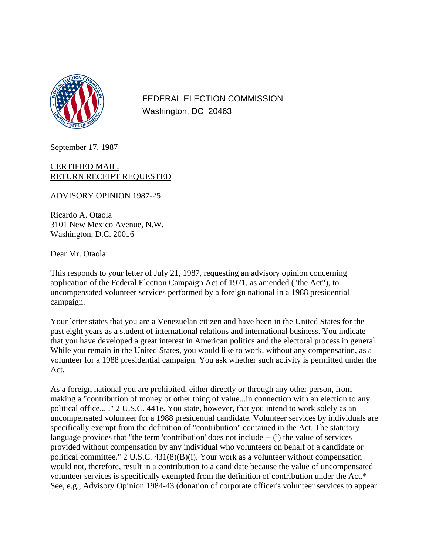

FEDERAL ELECTION COMMISSION Washington, DC 20463

September 17, 1987

## CERTIFIED MAIL, RETURN RECEIPT REQUESTED

ADVISORY OPINION 1987-25

Ricardo A. Otaola 3101 New Mexico Avenue, N.W. Washington, D.C. 20016

Dear Mr. Otaola:

This responds to your letter of July 21, 1987, requesting an advisory opinion concerning application of the Federal Election Campaign Act of 1971, as amended ("the Act"), to uncompensated volunteer services performed by a foreign national in a 1988 presidential campaign.

Your letter states that you are a Venezuelan citizen and have been in the United States for the past eight years as a student of international relations and international business. You indicate that you have developed a great interest in American politics and the electoral process in general. While you remain in the United States, you would like to work, without any compensation, as a volunteer for a 1988 presidential campaign. You ask whether such activity is permitted under the Act.

As a foreign national you are prohibited, either directly or through any other person, from making a "contribution of money or other thing of value...in connection with an election to any political office... ." 2 U.S.C. 441e. You state, however, that you intend to work solely as an uncompensated volunteer for a 1988 presidential candidate. Volunteer services by individuals are specifically exempt from the definition of "contribution" contained in the Act. The statutory language provides that "the term 'contribution' does not include -- (i) the value of services provided without compensation by any individual who volunteers on behalf of a candidate or political committee." 2 U.S.C. 431(8)(B)(i). Your work as a volunteer without compensation would not, therefore, result in a contribution to a candidate because the value of uncompensated volunteer services is specifically exempted from the definition of contribution under the Act.\* See, e.g., Advisory Opinion 1984-43 (donation of corporate officer's volunteer services to appear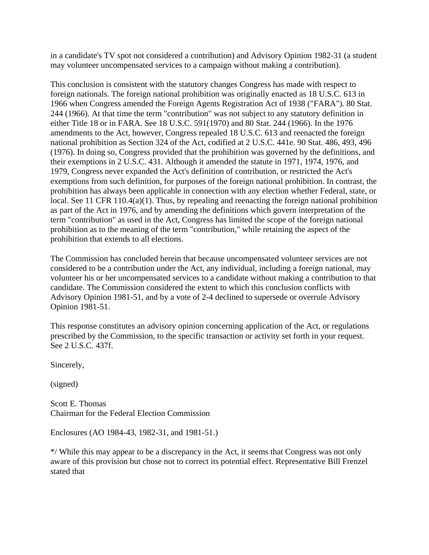in a candidate's TV spot not considered a contribution) and Advisory Opinion 1982-31 (a student may volunteer uncompensated services to a campaign without making a contribution).

This conclusion is consistent with the statutory changes Congress has made with respect to foreign nationals. The foreign national prohibition was originally enacted as 18 U.S.C. 613 in 1966 when Congress amended the Foreign Agents Registration Act of 1938 ("FARA"). 80 Stat. 244 (1966). At that time the term "contribution" was not subject to any statutory definition in either Title 18 or in FARA. See 18 U.S.C. 591(1970) and 80 Stat. 244 (1966). In the 1976 amendments to the Act, however, Congress repealed 18 U.S.C. 613 and reenacted the foreign national prohibition as Section 324 of the Act, codified at 2 U.S.C. 441e. 90 Stat. 486, 493, 496 (1976). In doing so, Congress provided that the prohibition was governed by the definitions, and their exemptions in 2 U.S.C. 431. Although it amended the statute in 1971, 1974, 1976, and 1979, Congress never expanded the Act's definition of contribution, or restricted the Act's exemptions from such definition, for purposes of the foreign national prohibition. In contrast, the prohibition has always been applicable in connection with any election whether Federal, state, or local. See 11 CFR 110.4(a)(1). Thus, by repealing and reenacting the foreign national prohibition as part of the Act in 1976, and by amending the definitions which govern interpretation of the term "contribution" as used in the Act, Congress has limited the scope of the foreign national prohibition as to the meaning of the term "contribution," while retaining the aspect of the prohibition that extends to all elections.

The Commission has concluded herein that because uncompensated volunteer services are not considered to be a contribution under the Act, any individual, including a foreign national, may volunteer his or her uncompensated services to a candidate without making a contribution to that candidate. The Commission considered the extent to which this conclusion conflicts with Advisory Opinion 1981-51, and by a vote of 2-4 declined to supersede or overrule Advisory Opinion 1981-51.

This response constitutes an advisory opinion concerning application of the Act, or regulations prescribed by the Commission, to the specific transaction or activity set forth in your request. See 2 U.S.C. 437f.

Sincerely,

(signed)

Scott E. Thomas Chairman for the Federal Election Commission

Enclosures (AO 1984-43, 1982-31, and 1981-51.)

\*/ While this may appear to be a discrepancy in the Act, it seems that Congress was not only aware of this provision but chose not to correct its potential effect. Representative Bill Frenzel stated that